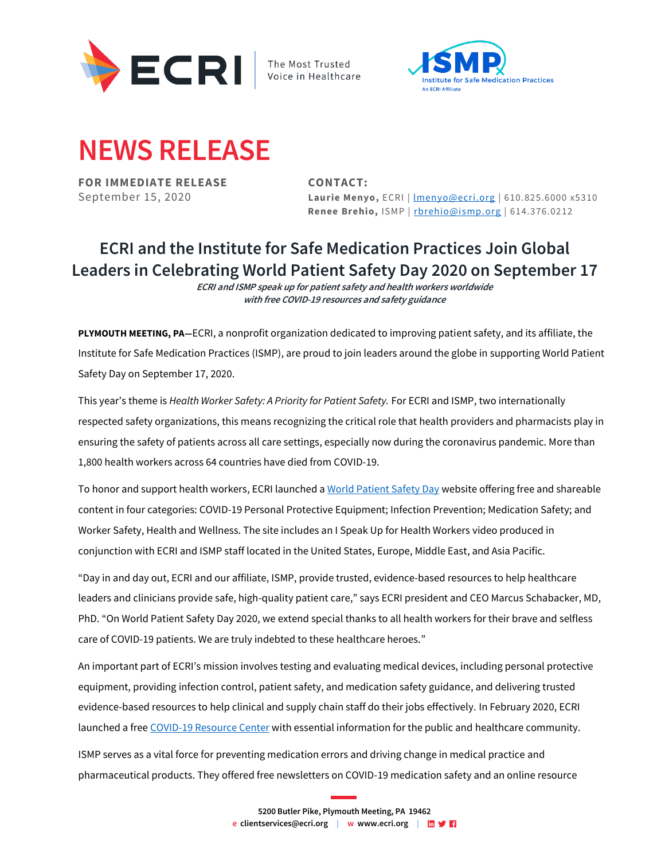

The Most Trusted Voice in Healthcare



## **NEWS RELEASE**

**FOR IMMEDIATE RELEASE CONTACT:**

September 15, 2020 **Laurie Menyo, ECRI** | <u>Imenyo@ecri.org</u> | 610.825.6000 x5310 **Renee Brehio,** ISMP | [rbrehio@ismp.org](mailto:rbrehio@ismp.org) | 614.376.0212

## **ECRI and the Institute for Safe Medication Practices Join Global Leaders in Celebrating World Patient Safety Day 2020 on September 17**

**ECRI and ISMP speak up for patient safety and health workers worldwide with free COVID-19 resources and safety guidance** 

**PLYMOUTH MEETING, PA—**ECRI, a nonprofit organization dedicated to improving patient safety, and its affiliate, the Institute for Safe Medication Practices (ISMP), are proud to join leaders around the globe in supporting World Patient Safety Day on September 17, 2020.

This year's theme is *Health Worker Safety: A Priority for Patient Safety.* For ECRI and ISMP, two internationally respected safety organizations, this means recognizing the critical role that health providers and pharmacists play in ensuring the safety of patients across all care settings, especially now during the coronavirus pandemic. More than 1,800 health workers across 64 countries have died from COVID-19.

To honor and support health workers, ECRI launched [a World Patient Safety Day](https://www.ecri.org/world-patient-safety-day-2020) website offering free and shareable content in four categories: COVID-19 Personal Protective Equipment; Infection Prevention; Medication Safety; and Worker Safety, Health and Wellness. The site includes an I Speak Up for Health Workers video produced in conjunction with ECRI and ISMP staff located in the United States, Europe, Middle East, and Asia Pacific.

"Day in and day out, ECRI and our affiliate, ISMP, provide trusted, evidence-based resources to help healthcare leaders and clinicians provide safe, high-quality patient care," says ECRI president and CEO Marcus Schabacker, MD, PhD. "On World Patient Safety Day 2020, we extend special thanks to all health workers for their brave and selfless care of COVID-19 patients. We are truly indebted to these healthcare heroes."

An important part of ECRI's mission involves testing and evaluating medical devices, including personal protective equipment, providing infection control, patient safety, and medication safety guidance, and delivering trusted evidence-based resources to help clinical and supply chain staff do their jobs effectively. In February 2020, ECRI launched a fre[e COVID-19 Resource Center](https://www.ecri.org/coronavirus-covid-19-outbreak-preparedness-center/) with essential information for the public and healthcare community.

ISMP serves as a vital force for preventing medication errors and driving change in medical practice and pharmaceutical products. They offered free newsletters on COVID-19 medication safety and an online resource